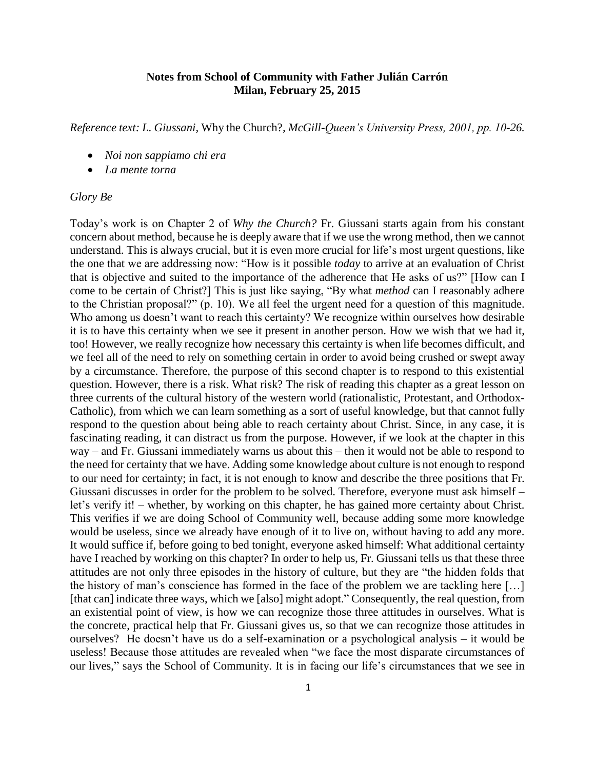## **Notes from School of Community with Father Julián Carrón Milan, February 25, 2015**

*Reference text: L. Giussani,* Why the Church?*, McGill-Queen's University Press, 2001, pp. 10-26.*

- *Noi non sappiamo chi era*
- *La mente torna*

## *Glory Be*

Today's work is on Chapter 2 of *Why the Church?* Fr. Giussani starts again from his constant concern about method, because he is deeply aware that if we use the wrong method, then we cannot understand. This is always crucial, but it is even more crucial for life's most urgent questions, like the one that we are addressing now: "How is it possible *today* to arrive at an evaluation of Christ that is objective and suited to the importance of the adherence that He asks of us?" [How can I come to be certain of Christ?] This is just like saying, "By what *method* can I reasonably adhere to the Christian proposal?" (p. 10). We all feel the urgent need for a question of this magnitude. Who among us doesn't want to reach this certainty? We recognize within ourselves how desirable it is to have this certainty when we see it present in another person. How we wish that we had it, too! However, we really recognize how necessary this certainty is when life becomes difficult, and we feel all of the need to rely on something certain in order to avoid being crushed or swept away by a circumstance. Therefore, the purpose of this second chapter is to respond to this existential question. However, there is a risk. What risk? The risk of reading this chapter as a great lesson on three currents of the cultural history of the western world (rationalistic, Protestant, and Orthodox-Catholic), from which we can learn something as a sort of useful knowledge, but that cannot fully respond to the question about being able to reach certainty about Christ. Since, in any case, it is fascinating reading, it can distract us from the purpose. However, if we look at the chapter in this way – and Fr. Giussani immediately warns us about this – then it would not be able to respond to the need for certainty that we have. Adding some knowledge about culture is not enough to respond to our need for certainty; in fact, it is not enough to know and describe the three positions that Fr. Giussani discusses in order for the problem to be solved. Therefore, everyone must ask himself – let's verify it! – whether, by working on this chapter, he has gained more certainty about Christ. This verifies if we are doing School of Community well, because adding some more knowledge would be useless, since we already have enough of it to live on, without having to add any more. It would suffice if, before going to bed tonight, everyone asked himself: What additional certainty have I reached by working on this chapter? In order to help us, Fr. Giussani tells us that these three attitudes are not only three episodes in the history of culture, but they are "the hidden folds that the history of man's conscience has formed in the face of the problem we are tackling here […] [that can] indicate three ways, which we [also] might adopt." Consequently, the real question, from an existential point of view, is how we can recognize those three attitudes in ourselves. What is the concrete, practical help that Fr. Giussani gives us, so that we can recognize those attitudes in ourselves? He doesn't have us do a self-examination or a psychological analysis – it would be useless! Because those attitudes are revealed when "we face the most disparate circumstances of our lives," says the School of Community. It is in facing our life's circumstances that we see in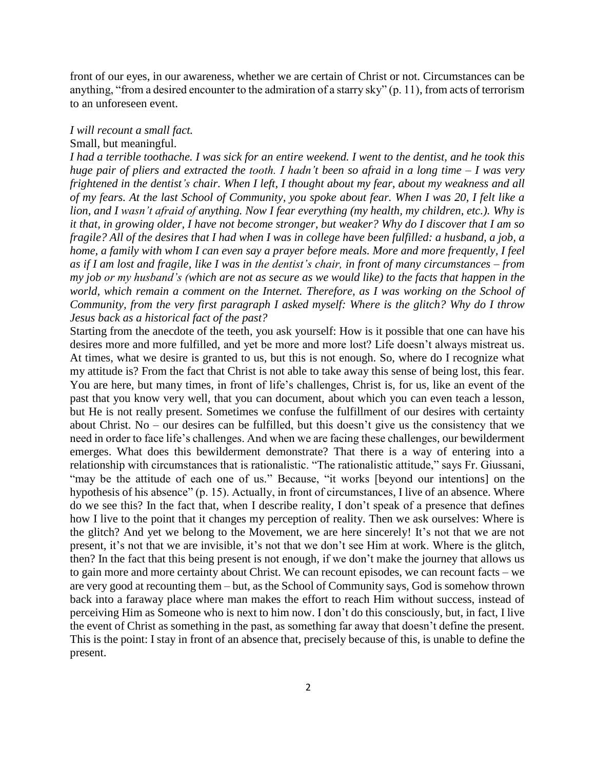front of our eyes, in our awareness, whether we are certain of Christ or not. Circumstances can be anything, "from a desired encounter to the admiration of a starry sky" (p. 11), from acts of terrorism to an unforeseen event.

## *I will recount a small fact.*

## Small, but meaningful.

*I had a terrible toothache. I was sick for an entire weekend. I went to the dentist, and he took this huge pair of pliers and extracted the tooth. I hadn't been so afraid in a long time – I was very frightened in the dentist's chair. When I left, I thought about my fear, about my weakness and all of my fears. At the last School of Community, you spoke about fear. When I was 20, I felt like a lion, and I wasn't afraid of anything. Now I fear everything (my health, my children, etc.). Why is it that, in growing older, I have not become stronger, but weaker? Why do I discover that I am so fragile? All of the desires that I had when I was in college have been fulfilled: a husband, a job, a home, a family with whom I can even say a prayer before meals. More and more frequently, I feel as if I am lost and fragile, like I was in the dentist's chair, in front of many circumstances – from my job or my husband's (which are not as secure as we would like) to the facts that happen in the world, which remain a comment on the Internet. Therefore, as I was working on the School of Community, from the very first paragraph I asked myself: Where is the glitch? Why do I throw Jesus back as a historical fact of the past?*

Starting from the anecdote of the teeth, you ask yourself: How is it possible that one can have his desires more and more fulfilled, and yet be more and more lost? Life doesn't always mistreat us. At times, what we desire is granted to us, but this is not enough. So, where do I recognize what my attitude is? From the fact that Christ is not able to take away this sense of being lost, this fear. You are here, but many times, in front of life's challenges, Christ is, for us, like an event of the past that you know very well, that you can document, about which you can even teach a lesson, but He is not really present. Sometimes we confuse the fulfillment of our desires with certainty about Christ. No – our desires can be fulfilled, but this doesn't give us the consistency that we need in order to face life's challenges. And when we are facing these challenges, our bewilderment emerges. What does this bewilderment demonstrate? That there is a way of entering into a relationship with circumstances that is rationalistic. "The rationalistic attitude," says Fr. Giussani, "may be the attitude of each one of us." Because, "it works [beyond our intentions] on the hypothesis of his absence" (p. 15). Actually, in front of circumstances, I live of an absence. Where do we see this? In the fact that, when I describe reality, I don't speak of a presence that defines how I live to the point that it changes my perception of reality. Then we ask ourselves: Where is the glitch? And yet we belong to the Movement, we are here sincerely! It's not that we are not present, it's not that we are invisible, it's not that we don't see Him at work. Where is the glitch, then? In the fact that this being present is not enough, if we don't make the journey that allows us to gain more and more certainty about Christ. We can recount episodes, we can recount facts – we are very good at recounting them – but, as the School of Community says, God is somehow thrown back into a faraway place where man makes the effort to reach Him without success, instead of perceiving Him as Someone who is next to him now. I don't do this consciously, but, in fact, I live the event of Christ as something in the past, as something far away that doesn't define the present. This is the point: I stay in front of an absence that, precisely because of this, is unable to define the present.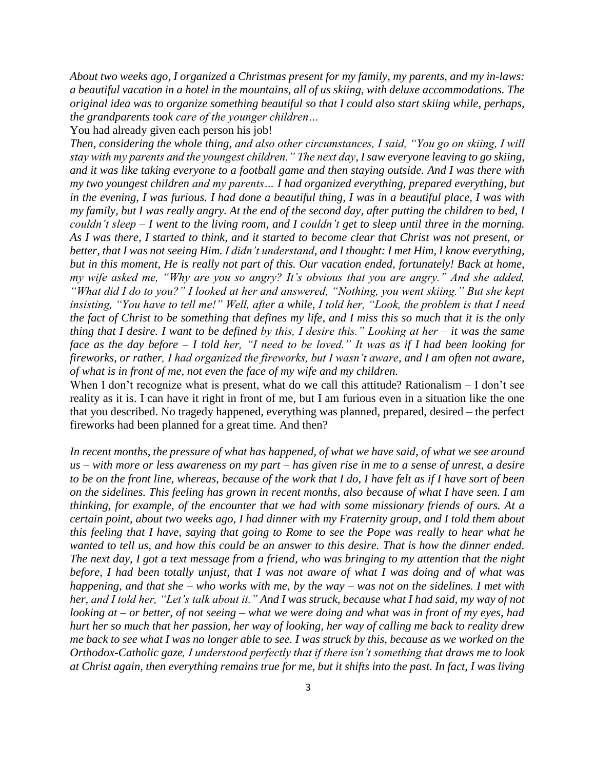*About two weeks ago, I organized a Christmas present for my family, my parents, and my in-laws: a beautiful vacation in a hotel in the mountains, all of us skiing, with deluxe accommodations. The original idea was to organize something beautiful so that I could also start skiing while, perhaps, the grandparents took care of the younger children…*

You had already given each person his job!

*Then, considering the whole thing, and also other circumstances, I said, "You go on skiing, I will stay with my parents and the youngest children." The next day, I saw everyone leaving to go skiing, and it was like taking everyone to a football game and then staying outside. And I was there with my two youngest children and my parents… I had organized everything, prepared everything, but in the evening, I was furious. I had done a beautiful thing, I was in a beautiful place, I was with my family, but I was really angry. At the end of the second day, after putting the children to bed, I couldn't sleep – I went to the living room, and I couldn't get to sleep until three in the morning. As I was there, I started to think, and it started to become clear that Christ was not present, or better, that I was not seeing Him. I didn't understand, and I thought: I met Him, I know everything, but in this moment, He is really not part of this. Our vacation ended, fortunately! Back at home, my wife asked me, "Why are you so angry? It's obvious that you are angry." And she added, "What did I do to you?" I looked at her and answered, "Nothing, you went skiing." But she kept insisting, "You have to tell me!" Well, after a while, I told her, "Look, the problem is that I need the fact of Christ to be something that defines my life, and I miss this so much that it is the only thing that I desire. I want to be defined by this, I desire this." Looking at her – it was the same face as the day before – I told her, "I need to be loved." It was as if I had been looking for fireworks, or rather, I had organized the fireworks, but I wasn't aware, and I am often not aware, of what is in front of me, not even the face of my wife and my children.*

When I don't recognize what is present, what do we call this attitude? Rationalism – I don't see reality as it is. I can have it right in front of me, but I am furious even in a situation like the one that you described. No tragedy happened, everything was planned, prepared, desired – the perfect fireworks had been planned for a great time. And then?

*In recent months, the pressure of what has happened, of what we have said, of what we see around us – with more or less awareness on my part – has given rise in me to a sense of unrest, a desire to be on the front line, whereas, because of the work that I do, I have felt as if I have sort of been on the sidelines. This feeling has grown in recent months, also because of what I have seen. I am thinking, for example, of the encounter that we had with some missionary friends of ours. At a certain point, about two weeks ago, I had dinner with my Fraternity group, and I told them about this feeling that I have, saying that going to Rome to see the Pope was really to hear what he wanted to tell us, and how this could be an answer to this desire. That is how the dinner ended. The next day, I got a text message from a friend, who was bringing to my attention that the night before, I had been totally unjust, that I was not aware of what I was doing and of what was happening, and that she – who works with me, by the way – was not on the sidelines. I met with her, and I told her, "Let's talk about it." And I was struck, because what I had said, my way of not looking at – or better, of not seeing – what we were doing and what was in front of my eyes, had hurt her so much that her passion, her way of looking, her way of calling me back to reality drew me back to see what I was no longer able to see. I was struck by this, because as we worked on the Orthodox-Catholic gaze, I understood perfectly that if there isn't something that draws me to look at Christ again, then everything remains true for me, but it shifts into the past. In fact, I was living*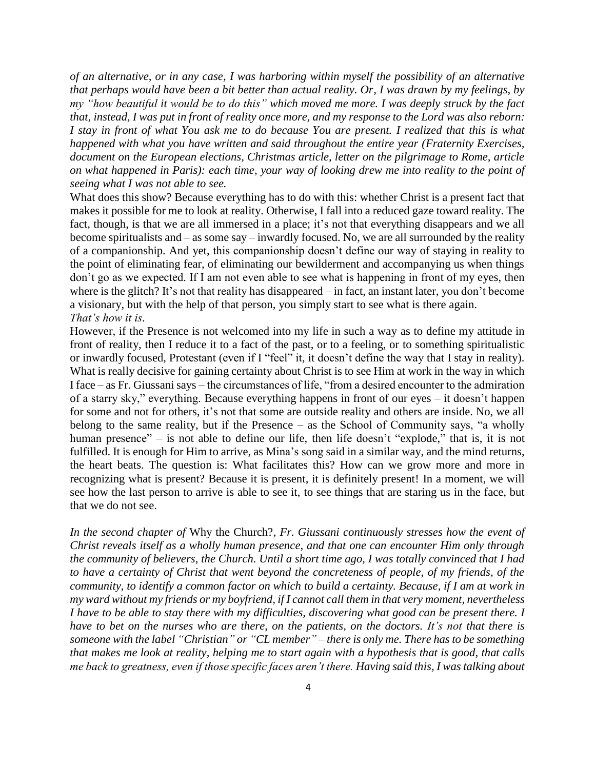*of an alternative, or in any case, I was harboring within myself the possibility of an alternative that perhaps would have been a bit better than actual reality. Or, I was drawn by my feelings, by my "how beautiful it would be to do this" which moved me more. I was deeply struck by the fact that, instead, I was put in front of reality once more, and my response to the Lord was also reborn: I stay in front of what You ask me to do because You are present. I realized that this is what happened with what you have written and said throughout the entire year (Fraternity Exercises, document on the European elections, Christmas article, letter on the pilgrimage to Rome, article on what happened in Paris): each time, your way of looking drew me into reality to the point of seeing what I was not able to see.*

What does this show? Because everything has to do with this: whether Christ is a present fact that makes it possible for me to look at reality. Otherwise, I fall into a reduced gaze toward reality. The fact, though, is that we are all immersed in a place; it's not that everything disappears and we all become spiritualists and – as some say – inwardly focused. No, we are all surrounded by the reality of a companionship. And yet, this companionship doesn't define our way of staying in reality to the point of eliminating fear, of eliminating our bewilderment and accompanying us when things don't go as we expected. If I am not even able to see what is happening in front of my eyes, then where is the glitch? It's not that reality has disappeared – in fact, an instant later, you don't become a visionary, but with the help of that person, you simply start to see what is there again. *That's how it is.*

However, if the Presence is not welcomed into my life in such a way as to define my attitude in front of reality, then I reduce it to a fact of the past, or to a feeling, or to something spiritualistic or inwardly focused, Protestant (even if I "feel" it, it doesn't define the way that I stay in reality). What is really decisive for gaining certainty about Christ is to see Him at work in the way in which I face – as Fr. Giussani says – the circumstances of life, "from a desired encounter to the admiration of a starry sky," everything. Because everything happens in front of our eyes – it doesn't happen for some and not for others, it's not that some are outside reality and others are inside. No, we all belong to the same reality, but if the Presence – as the School of Community says, "a wholly human presence" – is not able to define our life, then life doesn't "explode," that is, it is not fulfilled. It is enough for Him to arrive, as Mina's song said in a similar way, and the mind returns, the heart beats. The question is: What facilitates this? How can we grow more and more in recognizing what is present? Because it is present, it is definitely present! In a moment, we will see how the last person to arrive is able to see it, to see things that are staring us in the face, but that we do not see.

*In the second chapter of* Why the Church?*, Fr. Giussani continuously stresses how the event of Christ reveals itself as a wholly human presence, and that one can encounter Him only through the community of believers, the Church. Until a short time ago, I was totally convinced that I had to have a certainty of Christ that went beyond the concreteness of people, of my friends, of the community, to identify a common factor on which to build a certainty. Because, if I am at work in my ward without my friends or my boyfriend, if I cannot call them in that very moment, nevertheless I have to be able to stay there with my difficulties, discovering what good can be present there. I have to bet on the nurses who are there, on the patients, on the doctors. It's not that there is someone with the label "Christian" or "CL member" – there is only me. There has to be something that makes me look at reality, helping me to start again with a hypothesis that is good, that calls me back to greatness, even if those specific faces aren't there. Having said this, I was talking about*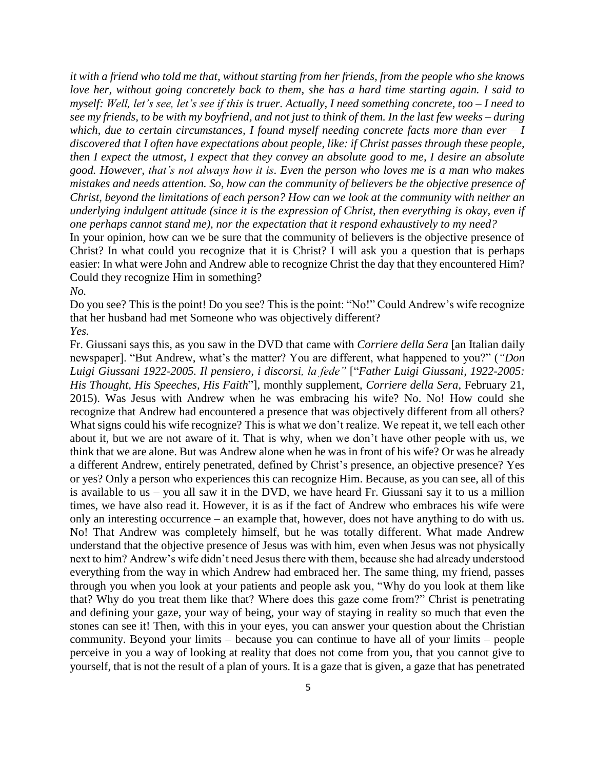*it with a friend who told me that, without starting from her friends, from the people who she knows love her, without going concretely back to them, she has a hard time starting again. I said to myself: Well, let's see, let's see if this is truer. Actually, I need something concrete, too – I need to see my friends, to be with my boyfriend, and not just to think of them. In the last few weeks – during which, due to certain circumstances, I found myself needing concrete facts more than ever – I discovered that I often have expectations about people, like: if Christ passes through these people, then I expect the utmost, I expect that they convey an absolute good to me, I desire an absolute good. However, that's not always how it is. Even the person who loves me is a man who makes mistakes and needs attention. So, how can the community of believers be the objective presence of Christ, beyond the limitations of each person? How can we look at the community with neither an underlying indulgent attitude (since it is the expression of Christ, then everything is okay, even if one perhaps cannot stand me), nor the expectation that it respond exhaustively to my need?*

In your opinion, how can we be sure that the community of believers is the objective presence of Christ? In what could you recognize that it is Christ? I will ask you a question that is perhaps easier: In what were John and Andrew able to recognize Christ the day that they encountered Him? Could they recognize Him in something?

*No.*

Do you see? This is the point! Do you see? This is the point: "No!" Could Andrew's wife recognize that her husband had met Someone who was objectively different?

*Yes.*

Fr. Giussani says this, as you saw in the DVD that came with *Corriere della Sera* [an Italian daily newspaper]. "But Andrew, what's the matter? You are different, what happened to you?" (*"Don Luigi Giussani 1922-2005. Il pensiero, i discorsi, la fede"* ["*Father Luigi Giussani, 1922-2005: His Thought, His Speeches, His Faith*"], monthly supplement, *Corriere della Sera*, February 21, 2015). Was Jesus with Andrew when he was embracing his wife? No. No! How could she recognize that Andrew had encountered a presence that was objectively different from all others? What signs could his wife recognize? This is what we don't realize. We repeat it, we tell each other about it, but we are not aware of it. That is why, when we don't have other people with us, we think that we are alone. But was Andrew alone when he was in front of his wife? Or was he already a different Andrew, entirely penetrated, defined by Christ's presence, an objective presence? Yes or yes? Only a person who experiences this can recognize Him. Because, as you can see, all of this is available to us – you all saw it in the DVD, we have heard Fr. Giussani say it to us a million times, we have also read it. However, it is as if the fact of Andrew who embraces his wife were only an interesting occurrence – an example that, however, does not have anything to do with us. No! That Andrew was completely himself, but he was totally different. What made Andrew understand that the objective presence of Jesus was with him, even when Jesus was not physically next to him? Andrew's wife didn't need Jesus there with them, because she had already understood everything from the way in which Andrew had embraced her. The same thing, my friend, passes through you when you look at your patients and people ask you, "Why do you look at them like that? Why do you treat them like that? Where does this gaze come from?" Christ is penetrating and defining your gaze, your way of being, your way of staying in reality so much that even the stones can see it! Then, with this in your eyes, you can answer your question about the Christian community. Beyond your limits – because you can continue to have all of your limits – people perceive in you a way of looking at reality that does not come from you, that you cannot give to yourself, that is not the result of a plan of yours. It is a gaze that is given, a gaze that has penetrated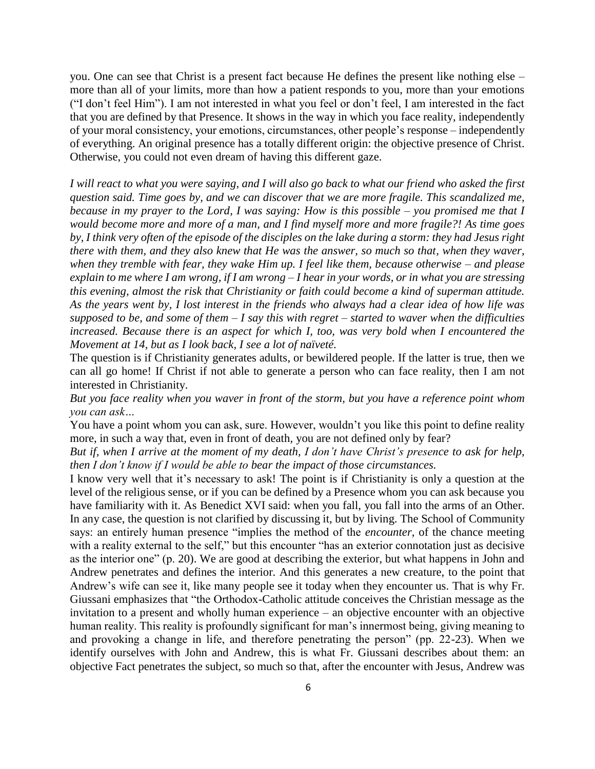you. One can see that Christ is a present fact because He defines the present like nothing else – more than all of your limits, more than how a patient responds to you, more than your emotions ("I don't feel Him"). I am not interested in what you feel or don't feel, I am interested in the fact that you are defined by that Presence. It shows in the way in which you face reality, independently of your moral consistency, your emotions, circumstances, other people's response – independently of everything. An original presence has a totally different origin: the objective presence of Christ. Otherwise, you could not even dream of having this different gaze.

*I will react to what you were saying, and I will also go back to what our friend who asked the first question said. Time goes by, and we can discover that we are more fragile. This scandalized me, because in my prayer to the Lord, I was saying: How is this possible – you promised me that I would become more and more of a man, and I find myself more and more fragile?! As time goes by, I think very often of the episode of the disciples on the lake during a storm: they had Jesus right there with them, and they also knew that He was the answer, so much so that, when they waver, when they tremble with fear, they wake Him up. I feel like them, because otherwise – and please explain to me where I am wrong, if I am wrong – I hear in your words, or in what you are stressing this evening, almost the risk that Christianity or faith could become a kind of superman attitude. As the years went by, I lost interest in the friends who always had a clear idea of how life was supposed to be, and some of them – I say this with regret – started to waver when the difficulties increased. Because there is an aspect for which I, too, was very bold when I encountered the Movement at 14, but as I look back, I see a lot of naïveté.*

The question is if Christianity generates adults, or bewildered people. If the latter is true, then we can all go home! If Christ if not able to generate a person who can face reality, then I am not interested in Christianity.

*But you face reality when you waver in front of the storm, but you have a reference point whom you can ask…*

You have a point whom you can ask, sure. However, wouldn't you like this point to define reality more, in such a way that, even in front of death, you are not defined only by fear?

*But if, when I arrive at the moment of my death, I don't have Christ's presence to ask for help, then I don't know if I would be able to bear the impact of those circumstances.*

I know very well that it's necessary to ask! The point is if Christianity is only a question at the level of the religious sense, or if you can be defined by a Presence whom you can ask because you have familiarity with it. As Benedict XVI said: when you fall, you fall into the arms of an Other. In any case, the question is not clarified by discussing it, but by living. The School of Community says: an entirely human presence "implies the method of the *encounter*, of the chance meeting with a reality external to the self," but this encounter "has an exterior connotation just as decisive as the interior one" (p. 20). We are good at describing the exterior, but what happens in John and Andrew penetrates and defines the interior. And this generates a new creature, to the point that Andrew's wife can see it, like many people see it today when they encounter us. That is why Fr. Giussani emphasizes that "the Orthodox-Catholic attitude conceives the Christian message as the invitation to a present and wholly human experience – an objective encounter with an objective human reality. This reality is profoundly significant for man's innermost being, giving meaning to and provoking a change in life, and therefore penetrating the person" (pp. 22-23). When we identify ourselves with John and Andrew, this is what Fr. Giussani describes about them: an objective Fact penetrates the subject, so much so that, after the encounter with Jesus, Andrew was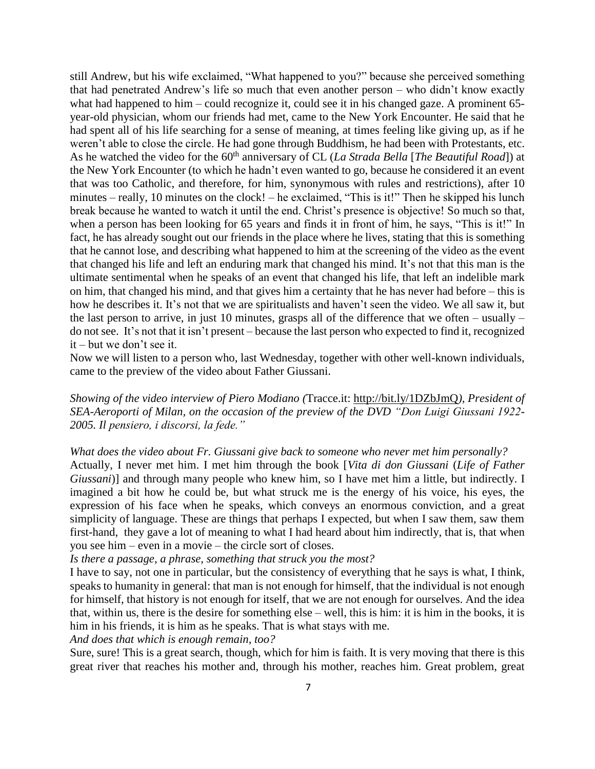still Andrew, but his wife exclaimed, "What happened to you?" because she perceived something that had penetrated Andrew's life so much that even another person – who didn't know exactly what had happened to him – could recognize it, could see it in his changed gaze. A prominent 65 year-old physician, whom our friends had met, came to the New York Encounter. He said that he had spent all of his life searching for a sense of meaning, at times feeling like giving up, as if he weren't able to close the circle. He had gone through Buddhism, he had been with Protestants, etc. As he watched the video for the 60<sup>th</sup> anniversary of CL (*La Strada Bella* [*The Beautiful Road*]) at the New York Encounter (to which he hadn't even wanted to go, because he considered it an event that was too Catholic, and therefore, for him, synonymous with rules and restrictions), after 10 minutes – really, 10 minutes on the clock! – he exclaimed, "This is it!" Then he skipped his lunch break because he wanted to watch it until the end. Christ's presence is objective! So much so that, when a person has been looking for 65 years and finds it in front of him, he says, "This is it!" In fact, he has already sought out our friends in the place where he lives, stating that this is something that he cannot lose, and describing what happened to him at the screening of the video as the event that changed his life and left an enduring mark that changed his mind. It's not that this man is the ultimate sentimental when he speaks of an event that changed his life, that left an indelible mark on him, that changed his mind, and that gives him a certainty that he has never had before – this is how he describes it. It's not that we are spiritualists and haven't seen the video. We all saw it, but the last person to arrive, in just 10 minutes, grasps all of the difference that we often – usually – do not see. It's not that it isn't present – because the last person who expected to find it, recognized it – but we don't see it.

Now we will listen to a person who, last Wednesday, together with other well-known individuals, came to the preview of the video about Father Giussani.

*Showing of the video interview of Piero Modiano (*Tracce.it:<http://bit.ly/1DZbJmQ>*), President of SEA-Aeroporti of Milan, on the occasion of the preview of the DVD "Don Luigi Giussani 1922- 2005. Il pensiero, i discorsi, la fede."*

*What does the video about Fr. Giussani give back to someone who never met him personally?* Actually, I never met him. I met him through the book [*Vita di don Giussani* (*Life of Father Giussani*)] and through many people who knew him, so I have met him a little, but indirectly. I imagined a bit how he could be, but what struck me is the energy of his voice, his eyes, the expression of his face when he speaks, which conveys an enormous conviction, and a great simplicity of language. These are things that perhaps I expected, but when I saw them, saw them first-hand, they gave a lot of meaning to what I had heard about him indirectly, that is, that when you see him – even in a movie – the circle sort of closes.

*Is there a passage, a phrase, something that struck you the most?*

I have to say, not one in particular, but the consistency of everything that he says is what, I think, speaks to humanity in general: that man is not enough for himself, that the individual is not enough for himself, that history is not enough for itself, that we are not enough for ourselves. And the idea that, within us, there is the desire for something else – well, this is him: it is him in the books, it is him in his friends, it is him as he speaks. That is what stays with me.

*And does that which is enough remain, too?*

Sure, sure! This is a great search, though, which for him is faith. It is very moving that there is this great river that reaches his mother and, through his mother, reaches him. Great problem, great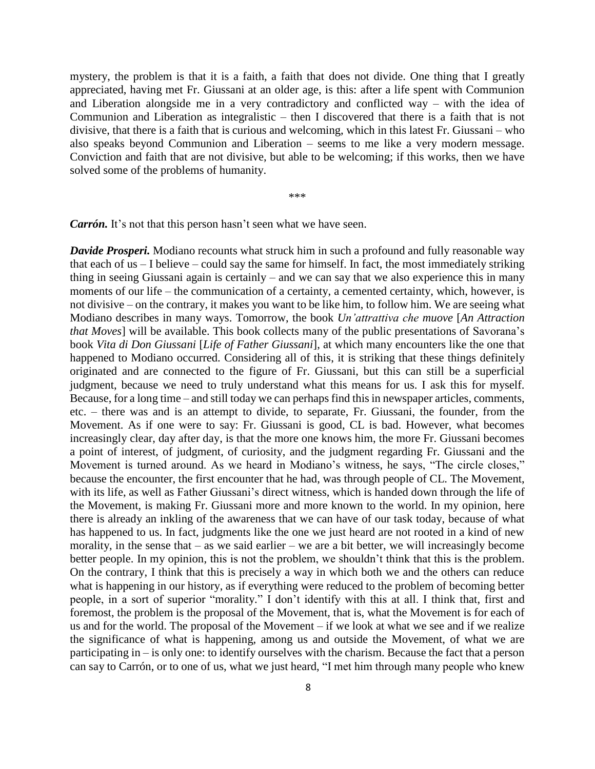mystery, the problem is that it is a faith, a faith that does not divide. One thing that I greatly appreciated, having met Fr. Giussani at an older age, is this: after a life spent with Communion and Liberation alongside me in a very contradictory and conflicted way – with the idea of Communion and Liberation as integralistic – then I discovered that there is a faith that is not divisive, that there is a faith that is curious and welcoming, which in this latest Fr. Giussani – who also speaks beyond Communion and Liberation – seems to me like a very modern message. Conviction and faith that are not divisive, but able to be welcoming; if this works, then we have solved some of the problems of humanity.

\*\*\*

*Carrón*. It's not that this person hasn't seen what we have seen.

*Davide Prosperi.* Modiano recounts what struck him in such a profound and fully reasonable way that each of us – I believe – could say the same for himself. In fact, the most immediately striking thing in seeing Giussani again is certainly – and we can say that we also experience this in many moments of our life – the communication of a certainty, a cemented certainty, which, however, is not divisive – on the contrary, it makes you want to be like him, to follow him. We are seeing what Modiano describes in many ways. Tomorrow, the book *Un'attrattiva che muove* [*An Attraction that Moves*] will be available. This book collects many of the public presentations of Savorana's book *Vita di Don Giussani* [*Life of Father Giussani*], at which many encounters like the one that happened to Modiano occurred. Considering all of this, it is striking that these things definitely originated and are connected to the figure of Fr. Giussani, but this can still be a superficial judgment, because we need to truly understand what this means for us. I ask this for myself. Because, for a long time – and still today we can perhaps find this in newspaper articles, comments, etc. – there was and is an attempt to divide, to separate, Fr. Giussani, the founder, from the Movement. As if one were to say: Fr. Giussani is good, CL is bad. However, what becomes increasingly clear, day after day, is that the more one knows him, the more Fr. Giussani becomes a point of interest, of judgment, of curiosity, and the judgment regarding Fr. Giussani and the Movement is turned around. As we heard in Modiano's witness, he says, "The circle closes," because the encounter, the first encounter that he had, was through people of CL. The Movement, with its life, as well as Father Giussani's direct witness, which is handed down through the life of the Movement, is making Fr. Giussani more and more known to the world. In my opinion, here there is already an inkling of the awareness that we can have of our task today, because of what has happened to us. In fact, judgments like the one we just heard are not rooted in a kind of new morality, in the sense that  $-$  as we said earlier  $-$  we are a bit better, we will increasingly become better people. In my opinion, this is not the problem, we shouldn't think that this is the problem. On the contrary, I think that this is precisely a way in which both we and the others can reduce what is happening in our history, as if everything were reduced to the problem of becoming better people, in a sort of superior "morality." I don't identify with this at all. I think that, first and foremost, the problem is the proposal of the Movement, that is, what the Movement is for each of us and for the world. The proposal of the Movement – if we look at what we see and if we realize the significance of what is happening, among us and outside the Movement, of what we are participating in – is only one: to identify ourselves with the charism. Because the fact that a person can say to Carrón, or to one of us, what we just heard, "I met him through many people who knew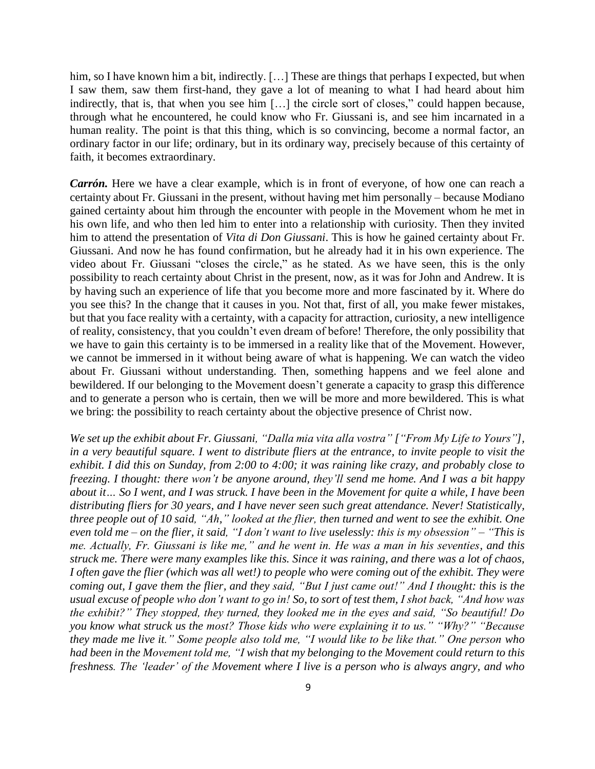him, so I have known him a bit, indirectly. [...] These are things that perhaps I expected, but when I saw them, saw them first-hand, they gave a lot of meaning to what I had heard about him indirectly, that is, that when you see him […] the circle sort of closes," could happen because, through what he encountered, he could know who Fr. Giussani is, and see him incarnated in a human reality. The point is that this thing, which is so convincing, become a normal factor, an ordinary factor in our life; ordinary, but in its ordinary way, precisely because of this certainty of faith, it becomes extraordinary.

*Carrón.* Here we have a clear example, which is in front of everyone, of how one can reach a certainty about Fr. Giussani in the present, without having met him personally – because Modiano gained certainty about him through the encounter with people in the Movement whom he met in his own life, and who then led him to enter into a relationship with curiosity. Then they invited him to attend the presentation of *Vita di Don Giussani*. This is how he gained certainty about Fr. Giussani. And now he has found confirmation, but he already had it in his own experience. The video about Fr. Giussani "closes the circle," as he stated. As we have seen, this is the only possibility to reach certainty about Christ in the present, now, as it was for John and Andrew. It is by having such an experience of life that you become more and more fascinated by it. Where do you see this? In the change that it causes in you. Not that, first of all, you make fewer mistakes, but that you face reality with a certainty, with a capacity for attraction, curiosity, a new intelligence of reality, consistency, that you couldn't even dream of before! Therefore, the only possibility that we have to gain this certainty is to be immersed in a reality like that of the Movement. However, we cannot be immersed in it without being aware of what is happening. We can watch the video about Fr. Giussani without understanding. Then, something happens and we feel alone and bewildered. If our belonging to the Movement doesn't generate a capacity to grasp this difference and to generate a person who is certain, then we will be more and more bewildered. This is what we bring: the possibility to reach certainty about the objective presence of Christ now.

*We set up the exhibit about Fr. Giussani, "Dalla mia vita alla vostra" ["From My Life to Yours"], in a very beautiful square. I went to distribute fliers at the entrance, to invite people to visit the exhibit. I did this on Sunday, from 2:00 to 4:00; it was raining like crazy, and probably close to freezing. I thought: there won't be anyone around, they'll send me home. And I was a bit happy about it… So I went, and I was struck. I have been in the Movement for quite a while, I have been distributing fliers for 30 years, and I have never seen such great attendance. Never! Statistically, three people out of 10 said, "Ah," looked at the flier, then turned and went to see the exhibit. One even told me – on the flier, it said, "I don't want to live uselessly: this is my obsession" – "This is me. Actually, Fr. Giussani is like me," and he went in. He was a man in his seventies, and this struck me. There were many examples like this. Since it was raining, and there was a lot of chaos, I often gave the flier (which was all wet!) to people who were coming out of the exhibit. They were coming out, I gave them the flier, and they said, "But I just came out!" And I thought: this is the usual excuse of people who don't want to go in! So, to sort of test them, I shot back, "And how was the exhibit?" They stopped, they turned, they looked me in the eyes and said, "So beautiful! Do you know what struck us the most? Those kids who were explaining it to us." "Why?" "Because they made me live it." Some people also told me, "I would like to be like that." One person who had been in the Movement told me, "I wish that my belonging to the Movement could return to this freshness. The 'leader' of the Movement where I live is a person who is always angry, and who*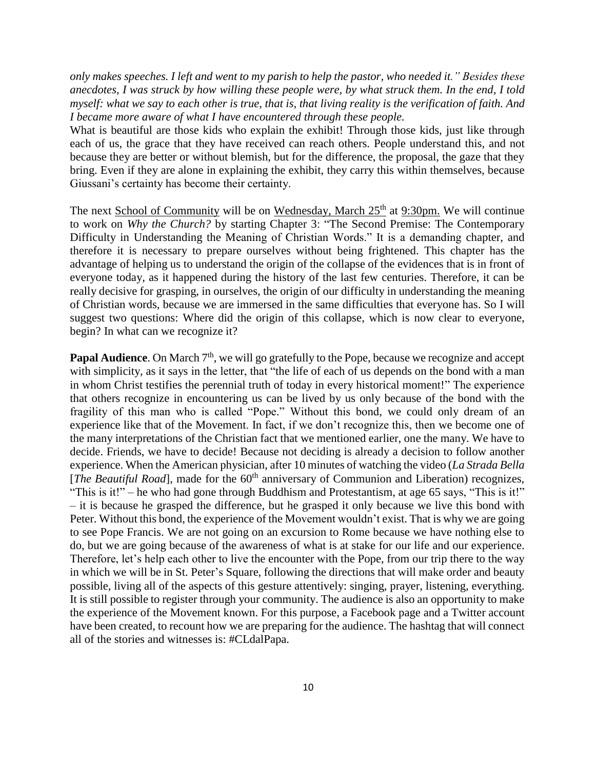*only makes speeches. I left and went to my parish to help the pastor, who needed it." Besides these anecdotes, I was struck by how willing these people were, by what struck them. In the end, I told myself: what we say to each other is true, that is, that living reality is the verification of faith. And I became more aware of what I have encountered through these people.*

What is beautiful are those kids who explain the exhibit! Through those kids, just like through each of us, the grace that they have received can reach others. People understand this, and not because they are better or without blemish, but for the difference, the proposal, the gaze that they bring. Even if they are alone in explaining the exhibit, they carry this within themselves, because Giussani's certainty has become their certainty.

The next School of Community will be on Wednesday, March  $25<sup>th</sup>$  at 9:30pm. We will continue to work on *Why the Church?* by starting Chapter 3: "The Second Premise: The Contemporary Difficulty in Understanding the Meaning of Christian Words." It is a demanding chapter, and therefore it is necessary to prepare ourselves without being frightened. This chapter has the advantage of helping us to understand the origin of the collapse of the evidences that is in front of everyone today, as it happened during the history of the last few centuries. Therefore, it can be really decisive for grasping, in ourselves, the origin of our difficulty in understanding the meaning of Christian words, because we are immersed in the same difficulties that everyone has. So I will suggest two questions: Where did the origin of this collapse, which is now clear to everyone, begin? In what can we recognize it?

Papal Audience. On March 7<sup>th</sup>, we will go gratefully to the Pope, because we recognize and accept with simplicity, as it says in the letter, that "the life of each of us depends on the bond with a man in whom Christ testifies the perennial truth of today in every historical moment!" The experience that others recognize in encountering us can be lived by us only because of the bond with the fragility of this man who is called "Pope." Without this bond, we could only dream of an experience like that of the Movement. In fact, if we don't recognize this, then we become one of the many interpretations of the Christian fact that we mentioned earlier, one the many. We have to decide. Friends, we have to decide! Because not deciding is already a decision to follow another experience. When the American physician, after 10 minutes of watching the video (*La Strada Bella*  [*The Beautiful Road*], made for the 60<sup>th</sup> anniversary of Communion and Liberation) recognizes, "This is it!" – he who had gone through Buddhism and Protestantism, at age 65 says, "This is it!" – it is because he grasped the difference, but he grasped it only because we live this bond with Peter. Without this bond, the experience of the Movement wouldn't exist. That is why we are going to see Pope Francis. We are not going on an excursion to Rome because we have nothing else to do, but we are going because of the awareness of what is at stake for our life and our experience. Therefore, let's help each other to live the encounter with the Pope, from our trip there to the way in which we will be in St. Peter's Square, following the directions that will make order and beauty possible, living all of the aspects of this gesture attentively: singing, prayer, listening, everything. It is still possible to register through your community. The audience is also an opportunity to make the experience of the Movement known. For this purpose, a Facebook page and a Twitter account have been created, to recount how we are preparing for the audience. The hashtag that will connect all of the stories and witnesses is: #CLdalPapa.